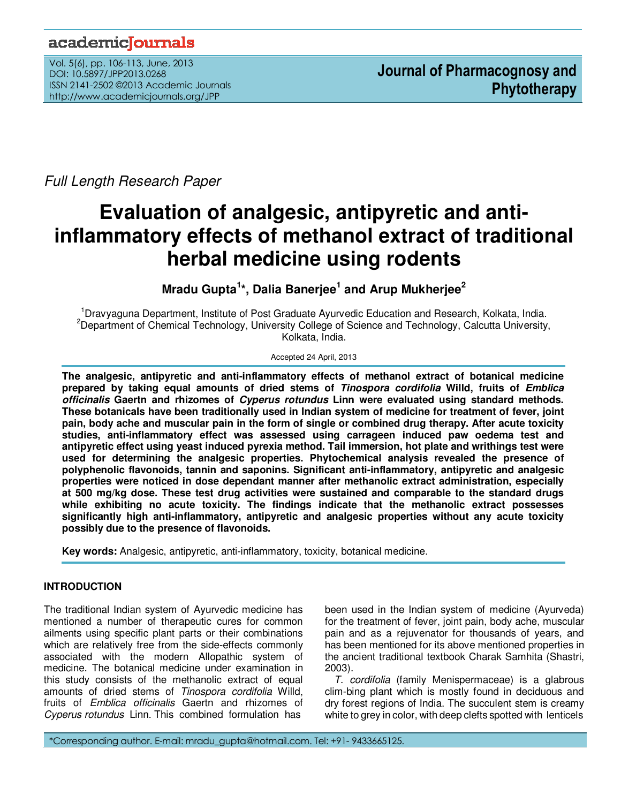## academicJournals

Vol. 5(6), pp. 106-113, June, 2013 DOI: 10.5897/JPP2013.0268 ISSN 2141-2502 ©2013 Academic Journals http://www.academicjournals.org/JPP

Full Length Research Paper

# **Evaluation of analgesic, antipyretic and antiinflammatory effects of methanol extract of traditional herbal medicine using rodents**

**Mradu Gupta<sup>1</sup> \*, Dalia Banerjee<sup>1</sup> and Arup Mukherjee<sup>2</sup>**

<sup>1</sup>Dravyaguna Department, Institute of Post Graduate Ayurvedic Education and Research, Kolkata, India. <sup>2</sup>Department of Chemical Technology, University College of Science and Technology, Calcutta University, Kolkata, India.

## Accepted 24 April, 2013

**The analgesic, antipyretic and anti-inflammatory effects of methanol extract of botanical medicine prepared by taking equal amounts of dried stems of Tinospora cordifolia Willd, fruits of Emblica officinalis Gaertn and rhizomes of Cyperus rotundus Linn were evaluated using standard methods. These botanicals have been traditionally used in Indian system of medicine for treatment of fever, joint pain, body ache and muscular pain in the form of single or combined drug therapy. After acute toxicity studies, anti-inflammatory effect was assessed using carrageen induced paw oedema test and antipyretic effect using yeast induced pyrexia method. Tail immersion, hot plate and writhings test were used for determining the analgesic properties. Phytochemical analysis revealed the presence of polyphenolic flavonoids, tannin and saponins. Significant anti-inflammatory, antipyretic and analgesic properties were noticed in dose dependant manner after methanolic extract administration, especially at 500 mg/kg dose. These test drug activities were sustained and comparable to the standard drugs while exhibiting no acute toxicity. The findings indicate that the methanolic extract possesses significantly high anti-inflammatory, antipyretic and analgesic properties without any acute toxicity possibly due to the presence of flavonoids.** 

**Key words:** Analgesic, antipyretic, anti-inflammatory, toxicity, botanical medicine.

## **INTRODUCTION**

The traditional Indian system of Ayurvedic medicine has mentioned a number of therapeutic cures for common ailments using specific plant parts or their combinations which are relatively free from the side-effects commonly associated with the modern Allopathic system of medicine. The botanical medicine under examination in this study consists of the methanolic extract of equal amounts of dried stems of Tinospora cordifolia Willd, fruits of Emblica officinalis Gaertn and rhizomes of Cyperus rotundus Linn. This combined formulation has

been used in the Indian system of medicine (Ayurveda) for the treatment of fever, joint pain, body ache, muscular pain and as a rejuvenator for thousands of years, and has been mentioned for its above mentioned properties in the ancient traditional textbook Charak Samhita (Shastri, 2003).

T. cordifolia (family Menispermaceae) is a glabrous clim-bing plant which is mostly found in deciduous and dry forest regions of India. The succulent stem is creamy white to grey in color, with deep clefts spotted with lenticels

\*Corresponding author. E-mail: mradu\_gupta@hotmail.com. Tel: +91- 9433665125.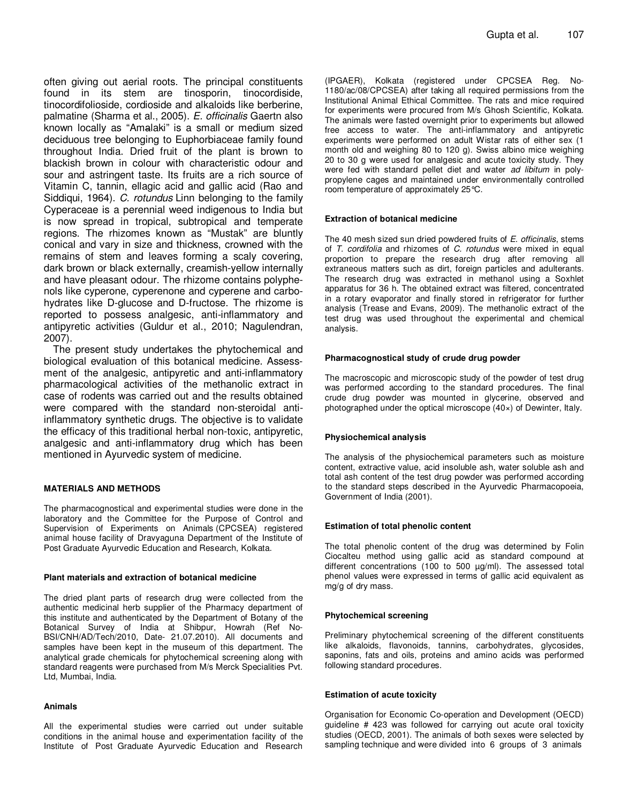often giving out aerial roots. The principal constituents found in its stem are tinosporin, tinocordiside, tinocordifolioside, cordioside and alkaloids like berberine, palmatine (Sharma et al., 2005). E. officinalis Gaertn also known locally as "Amalaki" is a small or medium sized deciduous tree belonging to Euphorbiaceae family found throughout India. Dried fruit of the plant is brown to blackish brown in colour with characteristic odour and sour and astringent taste. Its fruits are a rich source of Vitamin C, tannin, ellagic acid and gallic acid (Rao and Siddiqui, 1964). C. rotundus Linn belonging to the family Cyperaceae is a perennial weed indigenous to India but is now spread in tropical, subtropical and temperate regions. The rhizomes known as "Mustak" are bluntly conical and vary in size and thickness, crowned with the remains of stem and leaves forming a scaly covering, dark brown or black externally, creamish-yellow internally and have pleasant odour. The rhizome contains polyphenols like cyperone, cyperenone and cyperene and carbohydrates like D-glucose and D-fructose. The rhizome is reported to possess analgesic, anti-inflammatory and antipyretic activities (Guldur et al., 2010; Nagulendran, 2007).

The present study undertakes the phytochemical and biological evaluation of this botanical medicine. Assessment of the analgesic, antipyretic and anti-inflammatory pharmacological activities of the methanolic extract in case of rodents was carried out and the results obtained were compared with the standard non-steroidal antiinflammatory synthetic drugs. The objective is to validate the efficacy of this traditional herbal non-toxic, antipyretic, analgesic and anti-inflammatory drug which has been mentioned in Ayurvedic system of medicine.

## **MATERIALS AND METHODS**

The pharmacognostical and experimental studies were done in the laboratory and the Committee for the Purpose of Control and Supervision of Experiments on Animals (CPCSEA) registered animal house facility of Dravyaguna Department of the Institute of Post Graduate Ayurvedic Education and Research, Kolkata.

## **Plant materials and extraction of botanical medicine**

The dried plant parts of research drug were collected from the authentic medicinal herb supplier of the Pharmacy department of this institute and authenticated by the Department of Botany of the Botanical Survey of India at Shibpur, Howrah (Ref No-BSI/CNH/AD/Tech/2010, Date- 21.07.2010). All documents and samples have been kept in the museum of this department. The analytical grade chemicals for phytochemical screening along with standard reagents were purchased from M/s Merck Specialities Pvt. Ltd, Mumbai, India.

#### **Animals**

All the experimental studies were carried out under suitable conditions in the animal house and experimentation facility of the Institute of Post Graduate Ayurvedic Education and Research

(IPGAER), Kolkata (registered under CPCSEA Reg. No-1180/ac/08/CPCSEA) after taking all required permissions from the Institutional Animal Ethical Committee. The rats and mice required for experiments were procured from M/s Ghosh Scientific, Kolkata. The animals were fasted overnight prior to experiments but allowed free access to water. The anti-inflammatory and antipyretic experiments were performed on adult Wistar rats of either sex (1 month old and weighing 80 to 120 g). Swiss albino mice weighing 20 to 30 g were used for analgesic and acute toxicity study. They were fed with standard pellet diet and water ad libitum in polypropylene cages and maintained under environmentally controlled room temperature of approximately 25°C.

## **Extraction of botanical medicine**

The 40 mesh sized sun dried powdered fruits of E. officinalis, stems of T. cordifolia and rhizomes of C. rotundus were mixed in equal proportion to prepare the research drug after removing all extraneous matters such as dirt, foreign particles and adulterants. The research drug was extracted in methanol using a Soxhlet apparatus for 36 h. The obtained extract was filtered, concentrated in a rotary evaporator and finally stored in refrigerator for further analysis (Trease and Evans, 2009). The methanolic extract of the test drug was used throughout the experimental and chemical analysis.

## **Pharmacognostical study of crude drug powder**

The macroscopic and microscopic study of the powder of test drug was performed according to the standard procedures. The final crude drug powder was mounted in glycerine, observed and photographed under the optical microscope (40×) of Dewinter, Italy.

## **Physiochemical analysis**

The analysis of the physiochemical parameters such as moisture content, extractive value, acid insoluble ash, water soluble ash and total ash content of the test drug powder was performed according to the standard steps described in the Ayurvedic Pharmacopoeia, Government of India (2001).

## **Estimation of total phenolic content**

The total phenolic content of the drug was determined by Folin Ciocalteu method using gallic acid as standard compound at different concentrations (100 to 500 µg/ml). The assessed total phenol values were expressed in terms of gallic acid equivalent as mg/g of dry mass.

## **Phytochemical screening**

Preliminary phytochemical screening of the different constituents like alkaloids, flavonoids, tannins, carbohydrates, glycosides, saponins, fats and oils, proteins and amino acids was performed following standard procedures.

## **Estimation of acute toxicity**

Organisation for Economic Co-operation and Development (OECD) guideline # 423 was followed for carrying out acute oral toxicity studies (OECD, 2001). The animals of both sexes were selected by sampling technique and were divided into 6 groups of 3 animals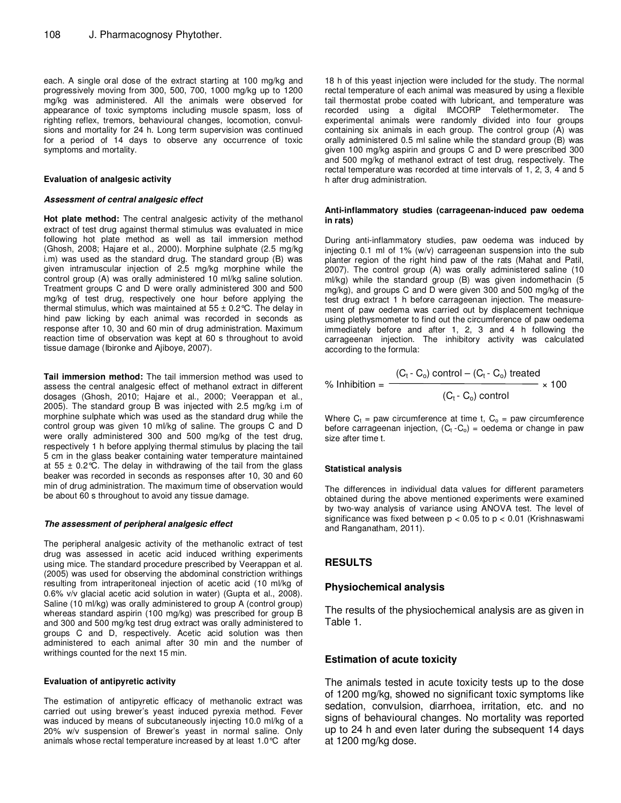each. A single oral dose of the extract starting at 100 mg/kg and progressively moving from 300, 500, 700, 1000 mg/kg up to 1200 mg/kg was administered. All the animals were observed for appearance of toxic symptoms including muscle spasm, loss of righting reflex, tremors, behavioural changes, locomotion, convulsions and mortality for 24 h. Long term supervision was continued for a period of 14 days to observe any occurrence of toxic symptoms and mortality.

#### **Evaluation of analgesic activity**

#### **Assessment of central analgesic effect**

**Hot plate method:** The central analgesic activity of the methanol extract of test drug against thermal stimulus was evaluated in mice following hot plate method as well as tail immersion method (Ghosh, 2008; Hajare et al., 2000). Morphine sulphate (2.5 mg/kg i.m) was used as the standard drug. The standard group (B) was given intramuscular injection of 2.5 mg/kg morphine while the control group (A) was orally administered 10 ml/kg saline solution. Treatment groups C and D were orally administered 300 and 500 mg/kg of test drug, respectively one hour before applying the thermal stimulus, which was maintained at  $55 \pm 0.2$  °C. The delay in hind paw licking by each animal was recorded in seconds as response after 10, 30 and 60 min of drug administration. Maximum reaction time of observation was kept at 60 s throughout to avoid tissue damage (Ibironke and Ajiboye, 2007).

**Tail immersion method:** The tail immersion method was used to assess the central analgesic effect of methanol extract in different dosages (Ghosh, 2010; Hajare et al., 2000; Veerappan et al., 2005). The standard group B was injected with 2.5 mg/kg i.m of morphine sulphate which was used as the standard drug while the control group was given 10 ml/kg of saline. The groups C and D were orally administered 300 and 500 mg/kg of the test drug, respectively 1 h before applying thermal stimulus by placing the tail 5 cm in the glass beaker containing water temperature maintained at 55  $\pm$  0.2°C. The delay in withdrawing of the tail from the glass beaker was recorded in seconds as responses after 10, 30 and 60 min of drug administration. The maximum time of observation would be about 60 s throughout to avoid any tissue damage.

#### **The assessment of peripheral analgesic effect**

The peripheral analgesic activity of the methanolic extract of test drug was assessed in acetic acid induced writhing experiments using mice. The standard procedure prescribed by Veerappan et al. (2005) was used for observing the abdominal constriction writhings resulting from intraperitoneal injection of acetic acid (10 ml/kg of 0.6% v/v glacial acetic acid solution in water) (Gupta et al., 2008). Saline (10 ml/kg) was orally administered to group A (control group) whereas standard aspirin (100 mg/kg) was prescribed for group B and 300 and 500 mg/kg test drug extract was orally administered to groups C and D, respectively. Acetic acid solution was then administered to each animal after 30 min and the number of writhings counted for the next 15 min.

#### **Evaluation of antipyretic activity**

The estimation of antipyretic efficacy of methanolic extract was carried out using brewer's yeast induced pyrexia method. Fever was induced by means of subcutaneously injecting 10.0 ml/kg of a 20% w/v suspension of Brewer's yeast in normal saline. Only animals whose rectal temperature increased by at least 1.0°C after

18 h of this yeast injection were included for the study. The normal rectal temperature of each animal was measured by using a flexible tail thermostat probe coated with lubricant, and temperature was recorded using a digital IMCORP Telethermometer. The experimental animals were randomly divided into four groups containing six animals in each group. The control group (A) was orally administered 0.5 ml saline while the standard group (B) was given 100 mg/kg aspirin and groups C and D were prescribed 300 and 500 mg/kg of methanol extract of test drug, respectively. The rectal temperature was recorded at time intervals of 1, 2, 3, 4 and 5 h after drug administration.

#### **Anti-inflammatory studies (carrageenan-induced paw oedema in rats)**

During anti-inflammatory studies, paw oedema was induced by injecting 0.1 ml of 1% (w/v) carrageenan suspension into the sub planter region of the right hind paw of the rats (Mahat and Patil, 2007). The control group (A) was orally administered saline (10 ml/kg) while the standard group (B) was given indomethacin (5 mg/kg), and groups C and D were given 300 and 500 mg/kg of the test drug extract 1 h before carrageenan injection. The measurement of paw oedema was carried out by displacement technique using plethysmometer to find out the circumference of paw oedema immediately before and after 1, 2, 3 and 4 h following the carrageenan injection. The inhibitory activity was calculated according to the formula:

% Inhibition = 
$$
\frac{(C_t - C_o) \text{ control} - (C_t - C_o) \text{ treated}}{(C_t - C_o) \text{ control}} \times 100
$$

Where  $C_t$  = paw circumference at time t,  $C_0$  = paw circumference before carrageenan injection,  $(C_t - C_0)$  = oedema or change in paw size after time t.

#### **Statistical analysis**

The differences in individual data values for different parameters obtained during the above mentioned experiments were examined by two-way analysis of variance using ANOVA test. The level of significance was fixed between  $p < 0.05$  to  $p < 0.01$  (Krishnaswami and Ranganatham, 2011).

## **RESULTS**

## **Physiochemical analysis**

The results of the physiochemical analysis are as given in Table 1.

## **Estimation of acute toxicity**

The animals tested in acute toxicity tests up to the dose of 1200 mg/kg, showed no significant toxic symptoms like sedation, convulsion, diarrhoea, irritation, etc. and no signs of behavioural changes. No mortality was reported up to 24 h and even later during the subsequent 14 days at 1200 mg/kg dose.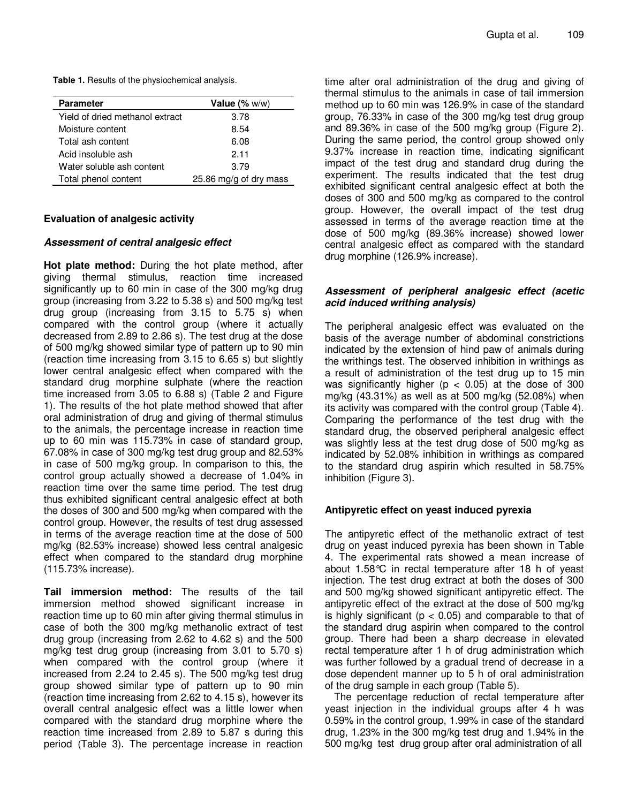**Table 1.** Results of the physiochemical analysis.

| <b>Parameter</b>                | Value (% $w/w$ )       |
|---------------------------------|------------------------|
| Yield of dried methanol extract | 3.78                   |
| Moisture content                | 8.54                   |
| Total ash content               | 6.08                   |
| Acid insoluble ash              | 2.11                   |
| Water soluble ash content       | 3.79                   |
| Total phenol content            | 25.86 mg/g of dry mass |

## **Evaluation of analgesic activity**

## **Assessment of central analgesic effect**

**Hot plate method:** During the hot plate method, after giving thermal stimulus, reaction time increased significantly up to 60 min in case of the 300 mg/kg drug group (increasing from 3.22 to 5.38 s) and 500 mg/kg test drug group (increasing from 3.15 to 5.75 s) when compared with the control group (where it actually decreased from 2.89 to 2.86 s). The test drug at the dose of 500 mg/kg showed similar type of pattern up to 90 min (reaction time increasing from 3.15 to 6.65 s) but slightly lower central analgesic effect when compared with the standard drug morphine sulphate (where the reaction time increased from 3.05 to 6.88 s) (Table 2 and Figure 1). The results of the hot plate method showed that after oral administration of drug and giving of thermal stimulus to the animals, the percentage increase in reaction time up to 60 min was 115.73% in case of standard group, 67.08% in case of 300 mg/kg test drug group and 82.53% in case of 500 mg/kg group. In comparison to this, the control group actually showed a decrease of 1.04% in reaction time over the same time period. The test drug thus exhibited significant central analgesic effect at both the doses of 300 and 500 mg/kg when compared with the control group. However, the results of test drug assessed in terms of the average reaction time at the dose of 500 mg/kg (82.53% increase) showed less central analgesic effect when compared to the standard drug morphine (115.73% increase).

**Tail immersion method:** The results of the tail immersion method showed significant increase in reaction time up to 60 min after giving thermal stimulus in case of both the 300 mg/kg methanolic extract of test drug group (increasing from 2.62 to 4.62 s) and the 500 mg/kg test drug group (increasing from 3.01 to 5.70 s) when compared with the control group (where it increased from 2.24 to 2.45 s). The 500 mg/kg test drug group showed similar type of pattern up to 90 min (reaction time increasing from 2.62 to 4.15 s), however its overall central analgesic effect was a little lower when compared with the standard drug morphine where the reaction time increased from 2.89 to 5.87 s during this period (Table 3).The percentage increase in reaction time after oral administration of the drug and giving of thermal stimulus to the animals in case of tail immersion method up to 60 min was 126.9% in case of the standard group, 76.33% in case of the 300 mg/kg test drug group and 89.36% in case of the 500 mg/kg group (Figure 2). During the same period, the control group showed only 9.37% increase in reaction time, indicating significant impact of the test drug and standard drug during the experiment. The results indicated that the test drug exhibited significant central analgesic effect at both the doses of 300 and 500 mg/kg as compared to the control group. However, the overall impact of the test drug assessed in terms of the average reaction time at the dose of 500 mg/kg (89.36% increase) showed lower central analgesic effect as compared with the standard drug morphine (126.9% increase).

## **Assessment of peripheral analgesic effect (acetic acid induced writhing analysis)**

The peripheral analgesic effect was evaluated on the basis of the average number of abdominal constrictions indicated by the extension of hind paw of animals during the writhings test. The observed inhibition in writhings as a result of administration of the test drug up to 15 min was significantly higher ( $p < 0.05$ ) at the dose of 300 mg/kg (43.31%) as well as at 500 mg/kg (52.08%) when its activity was compared with the control group (Table 4). Comparing the performance of the test drug with the standard drug, the observed peripheral analgesic effect was slightly less at the test drug dose of 500 mg/kg as indicated by 52.08% inhibition in writhings as compared to the standard drug aspirin which resulted in 58.75% inhibition (Figure 3).

## **Antipyretic effect on yeast induced pyrexia**

The antipyretic effect of the methanolic extract of test drug on yeast induced pyrexia has been shown in Table 4. The experimental rats showed a mean increase of about 1.58°C in rectal temperature after 18 h of yeast injection. The test drug extract at both the doses of 300 and 500 mg/kg showed significant antipyretic effect. The antipyretic effect of the extract at the dose of 500 mg/kg is highly significant ( $p < 0.05$ ) and comparable to that of the standard drug aspirin when compared to the control group. There had been a sharp decrease in elevated rectal temperature after 1 h of drug administration which was further followed by a gradual trend of decrease in a dose dependent manner up to 5 h of oral administration of the drug sample in each group (Table 5).

The percentage reduction of rectal temperature after yeast injection in the individual groups after 4 h was 0.59% in the control group, 1.99% in case of the standard drug, 1.23% in the 300 mg/kg test drug and 1.94% in the 500 mg/kg test drug group after oral administration of all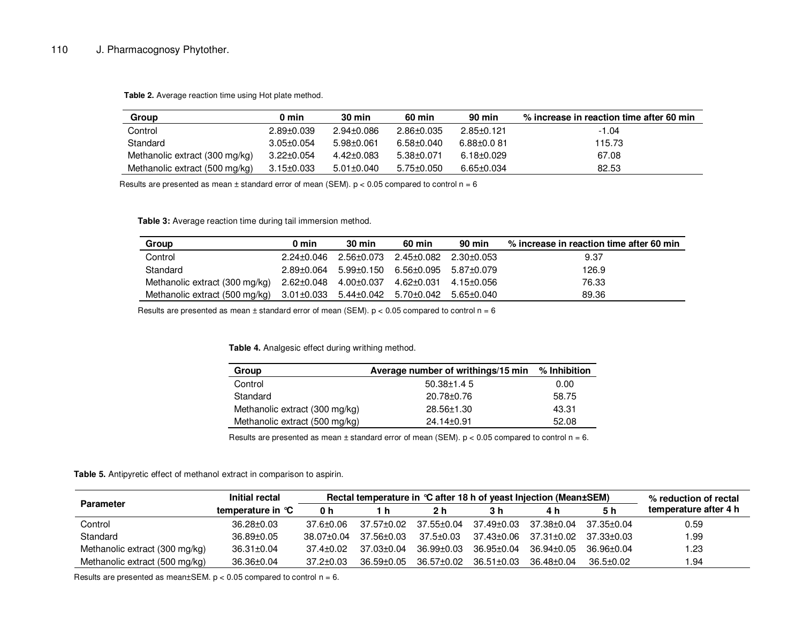| <b>Group</b>                   | 0 min            | $30 \text{ min}$ | 60 min           | 90 min           | % increase in reaction time after 60 min |
|--------------------------------|------------------|------------------|------------------|------------------|------------------------------------------|
| Control                        | $2.89 \pm 0.039$ | $2.94 \pm 0.086$ | $2.86 \pm 0.035$ | $2.85 \pm 0.121$ | $-1.04$                                  |
| Standard                       | $3.05 \pm 0.054$ | $5.98 + 0.061$   | $6.58 + 0.040$   | $6.88 \pm 0.081$ | 115.73                                   |
| Methanolic extract (300 mg/kg) | $3.22 \pm 0.054$ | 4.42±0.083       | $5.38 \pm 0.071$ | $6.18 + 0.029$   | 67.08                                    |
| Methanolic extract (500 mg/kg) | $3.15 \pm 0.033$ | $5.01 \pm 0.040$ | $5.75 \pm 0.050$ | $6.65 \pm 0.034$ | 82.53                                    |

**Table 2.** Average reaction time using Hot plate method.

Results are presented as mean  $\pm$  standard error of mean (SEM).  $p < 0.05$  compared to control  $n = 6$ 

## **Table 3:** Average reaction time during tail immersion method.

| Group                                                                                              | 0 min            | $30 \text{ min}$                 | 60 min                | 90 min     | % increase in reaction time after 60 min |
|----------------------------------------------------------------------------------------------------|------------------|----------------------------------|-----------------------|------------|------------------------------------------|
| Control                                                                                            | 2.24±0.046       | 2.56±0.073 2.45±0.082 2.30±0.053 |                       |            | 9.37                                     |
| Standard                                                                                           | $2.89 \pm 0.064$ | 5.99±0.150                       | 6.56±0.095 5.87±0.079 |            | 126.9                                    |
| Methanolic extract (300 mg/kg) $2.62\pm0.048$ 4.00 $\pm$ 0.037 4.62 $\pm$ 0.031                    |                  |                                  |                       | 4.15±0.056 | 76.33                                    |
| Methanolic extract (500 mg/kg) $3.01 \pm 0.033$ $5.44 \pm 0.042$ $5.70 \pm 0.042$ $5.65 \pm 0.040$ |                  |                                  |                       |            | 89.36                                    |

Results are presented as mean  $\pm$  standard error of mean (SEM).  $p < 0.05$  compared to control  $n = 6$ 

## **Table 4.** Analgesic effect during writhing method.

| Group                          | Average number of writhings/15 min | $%$ Inhibition |
|--------------------------------|------------------------------------|----------------|
| Control                        | $50.38 \pm 1.45$                   | 0.00           |
| Standard                       | $20.78 \pm 0.76$                   | 58.75          |
| Methanolic extract (300 mg/kg) | 28.56±1.30                         | 43.31          |
| Methanolic extract (500 mg/kg) | $24.14 \pm 0.91$                   | 52.08          |

Results are presented as mean  $\pm$  standard error of mean (SEM).  $p < 0.05$  compared to control  $n = 6$ .

**Table 5.** Antipyretic effect of methanol extract in comparison to aspirin.

|                                | Initial rectal                        | Rectal temperature in $\mathcal C$ after 18 h of yeast Injection (Mean $\pm$ SEM) | % reduction of rectal |                 |            |                                              |            |                       |
|--------------------------------|---------------------------------------|-----------------------------------------------------------------------------------|-----------------------|-----------------|------------|----------------------------------------------|------------|-----------------------|
| Parameter                      | temperature in ${}^{\circ}\mathbb{C}$ | 0 h                                                                               | 1 h                   | 2 h             | 3 h        | 4 h                                          | 5 h        | temperature after 4 h |
| Control                        | $36.28 \pm 0.03$                      | 37.6+0.06                                                                         | 37.57±0.02            | 37.55±0.04      |            |                                              |            | 0.59                  |
| Standard                       | 36.89±0.05                            | $38.07 + 0.04$                                                                    | 37.56±0.03            | $37.5 \pm 0.03$ |            | $37.43\pm0.06$ $37.31\pm0.02$ $37.33\pm0.03$ |            | .99                   |
| Methanolic extract (300 mg/kg) | $36.31 \pm 0.04$                      | $37.4 + 0.02$                                                                     | 37.03±0.04            | 36.99±0.03      | 36.95±0.04 | 36.94±0.05                                   | 36.96+0.04 | l.23                  |
| Methanolic extract (500 mg/kg) | 36.36±0.04                            | $37.2 \pm 0.03$                                                                   | 36.59±0.05            | 36.57±0.02      | 36.51±0.03 | 36.48±0.04                                   | 36.5+0.02  | .94                   |

Results are presented as mean $\pm$ SEM.  $p < 0.05$  compared to control  $n = 6$ .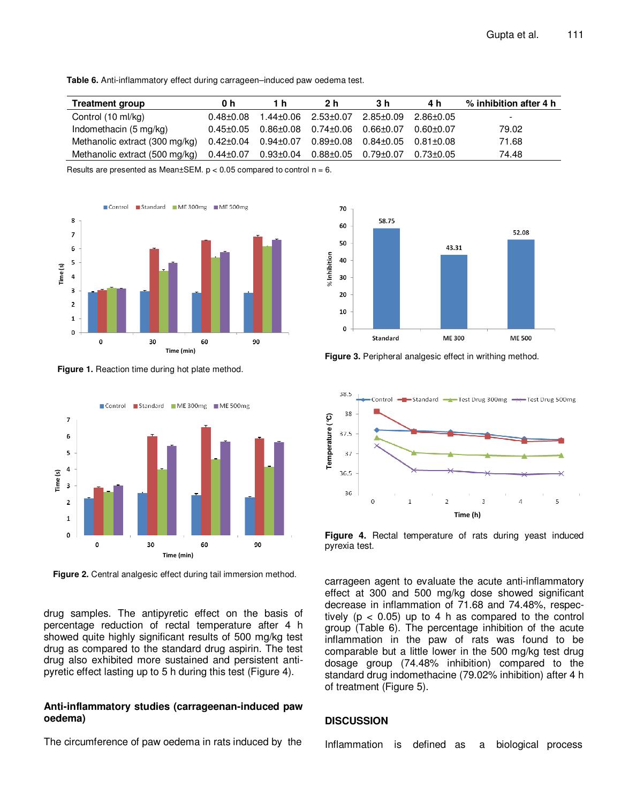| <b>Treatment group</b>         | 0 h             | 1 h                                                     | 2 h                                       | 3 h             | 4 h             | % inhibition after 4 h |
|--------------------------------|-----------------|---------------------------------------------------------|-------------------------------------------|-----------------|-----------------|------------------------|
| Control (10 ml/kg)             | $0.48 + 0.08$   |                                                         | $1.44\pm0.06$ $2.53\pm0.07$               | $2.85 \pm 0.09$ | 2.86±0.05       | -                      |
| Indomethacin (5 mg/kg)         | $0.45 \pm 0.05$ | $0.86 {\pm} 0.08$                                       | 0.74±0.06                                 | $0.66 \pm 0.07$ | 0.60+0.07       | 79.02                  |
| Methanolic extract (300 mg/kg) | $0.42{\pm}0.04$ |                                                         | $0.94\pm0.07$ $0.89\pm0.08$ $0.84\pm0.05$ |                 | $0.81 \pm 0.08$ | 71.68                  |
| Methanolic extract (500 mg/kg) |                 | $0.44\pm0.07$ $0.93\pm0.04$ $0.88\pm0.05$ $0.79\pm0.07$ |                                           |                 | 0.73±0.05       | 74.48                  |

**Table 6.** Anti-inflammatory effect during carrageen–induced paw oedema test.

Results are presented as Mean $\pm$ SEM.  $p < 0.05$  compared to control  $n = 6$ .





**Figure 1.** Reaction time during hot plate method.



**Figure 2.** Central analgesic effect during tail immersion method.

drug samples. The antipyretic effect on the basis of percentage reduction of rectal temperature after 4 h showed quite highly significant results of 500 mg/kg test drug as compared to the standard drug aspirin. The test drug also exhibited more sustained and persistent antipyretic effect lasting up to 5 h during this test (Figure 4).

## **Anti-inflammatory studies (carrageenan-induced paw oedema)**

The circumference of paw oedema in rats induced by the

**Figure 3.** Peripheral analgesic effect in writhing method.



**Figure 4.** Rectal temperature of rats during yeast induced pyrexia test.

carrageen agent to evaluate the acute anti-inflammatory effect at 300 and 500 mg/kg dose showed significant decrease in inflammation of 71.68 and 74.48%, respectively  $(p < 0.05)$  up to 4 h as compared to the control group (Table 6). The percentage inhibition of the acute inflammation in the paw of rats was found to be comparable but a little lower in the 500 mg/kg test drug dosage group (74.48% inhibition) compared to the standard drug indomethacine (79.02% inhibition) after 4 h of treatment (Figure 5).

## **DISCUSSION**

| Inflammation is defined as a biological process |  |  |  |  |  |  |  |
|-------------------------------------------------|--|--|--|--|--|--|--|
|-------------------------------------------------|--|--|--|--|--|--|--|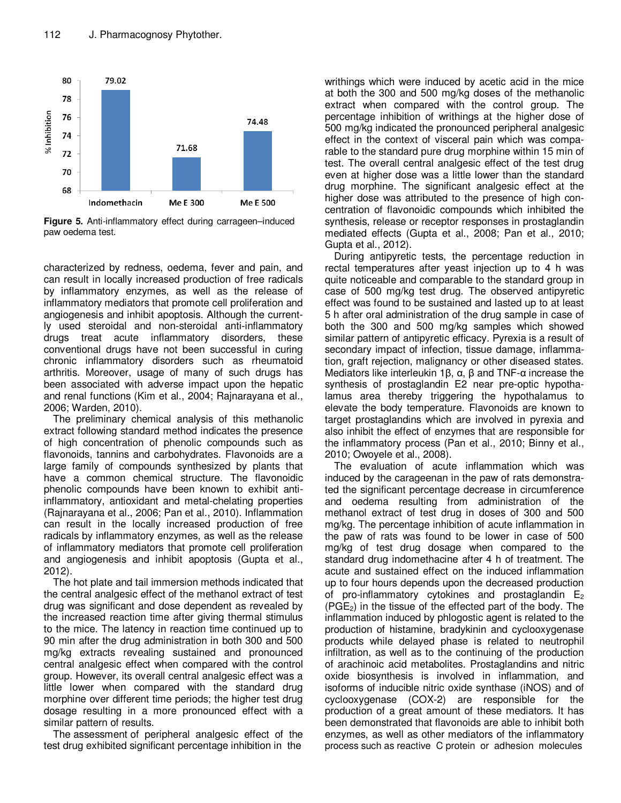

**Figure 5.** Anti-inflammatory effect during carrageen–induced paw oedema test.

characterized by redness, oedema, fever and pain, and can result in locally increased production of free radicals by inflammatory enzymes, as well as the release of inflammatory mediators that promote cell proliferation and angiogenesis and inhibit apoptosis. Although the currently used steroidal and non-steroidal anti-inflammatory drugs treat acute inflammatory disorders, these conventional drugs have not been successful in curing chronic inflammatory disorders such as rheumatoid arthritis. Moreover, usage of many of such drugs has been associated with adverse impact upon the hepatic and renal functions (Kim et al., 2004; Rajnarayana et al., 2006; Warden, 2010).

The preliminary chemical analysis of this methanolic extract following standard method indicates the presence of high concentration of phenolic compounds such as flavonoids, tannins and carbohydrates. Flavonoids are a large family of compounds synthesized by plants that have a common chemical structure. The flavonoidic phenolic compounds have been known to exhibit antiinflammatory, antioxidant and metal-chelating properties (Rajnarayana et al., 2006; Pan et al., 2010). Inflammation can result in the locally increased production of free radicals by inflammatory enzymes, as well as the release of inflammatory mediators that promote cell proliferation and angiogenesis and inhibit apoptosis (Gupta et al., 2012).

The hot plate and tail immersion methods indicated that the central analgesic effect of the methanol extract of test drug was significant and dose dependent as revealed by the increased reaction time after giving thermal stimulus to the mice. The latency in reaction time continued up to 90 min after the drug administration in both 300 and 500 mg/kg extracts revealing sustained and pronounced central analgesic effect when compared with the control group. However, its overall central analgesic effect was a little lower when compared with the standard drug morphine over different time periods; the higher test drug dosage resulting in a more pronounced effect with a similar pattern of results.

The assessment of peripheral analgesic effect of the test drug exhibited significant percentage inhibition in the

writhings which were induced by acetic acid in the mice at both the 300 and 500 mg/kg doses of the methanolic extract when compared with the control group. The percentage inhibition of writhings at the higher dose of 500 mg/kg indicated the pronounced peripheral analgesic effect in the context of visceral pain which was comparable to the standard pure drug morphine within 15 min of test. The overall central analgesic effect of the test drug even at higher dose was a little lower than the standard drug morphine. The significant analgesic effect at the higher dose was attributed to the presence of high concentration of flavonoidic compounds which inhibited the synthesis, release or receptor responses in prostaglandin mediated effects (Gupta et al., 2008; Pan et al., 2010; Gupta et al., 2012).

During antipyretic tests, the percentage reduction in rectal temperatures after yeast injection up to 4 h was quite noticeable and comparable to the standard group in case of 500 mg/kg test drug. The observed antipyretic effect was found to be sustained and lasted up to at least 5 h after oral administration of the drug sample in case of both the 300 and 500 mg/kg samples which showed similar pattern of antipyretic efficacy. Pyrexia is a result of secondary impact of infection, tissue damage, inflammation, graft rejection, malignancy or other diseased states. Mediators like interleukin 1β, α, β and TNF-α increase the synthesis of prostaglandin E2 near pre-optic hypothalamus area thereby triggering the hypothalamus to elevate the body temperature. Flavonoids are known to target prostaglandins which are involved in pyrexia and also inhibit the effect of enzymes that are responsible for the inflammatory process (Pan et al., 2010; Binny et al., 2010; Owoyele et al., 2008).

The evaluation of acute inflammation which was induced by the carageenan in the paw of rats demonstrated the significant percentage decrease in circumference and oedema resulting from administration of the methanol extract of test drug in doses of 300 and 500 mg/kg. The percentage inhibition of acute inflammation in the paw of rats was found to be lower in case of 500 mg/kg of test drug dosage when compared to the standard drug indomethacine after 4 h of treatment. The acute and sustained effect on the induced inflammation up to four hours depends upon the decreased production of pro-inflammatory cytokines and prostaglandin  $E_2$  $(PGE<sub>2</sub>)$  in the tissue of the effected part of the body. The inflammation induced by phlogostic agent is related to the production of histamine, bradykinin and cyclooxygenase products while delayed phase is related to neutrophil infiltration, as well as to the continuing of the production of arachinoic acid metabolites. Prostaglandins and nitric oxide biosynthesis is involved in inflammation, and isoforms of inducible nitric oxide synthase (iNOS) and of cyclooxygenase (COX-2) are responsible for the production of a great amount of these mediators. It has been demonstrated that flavonoids are able to inhibit both enzymes, as well as other mediators of the inflammatory process such as reactive C protein or adhesion molecules